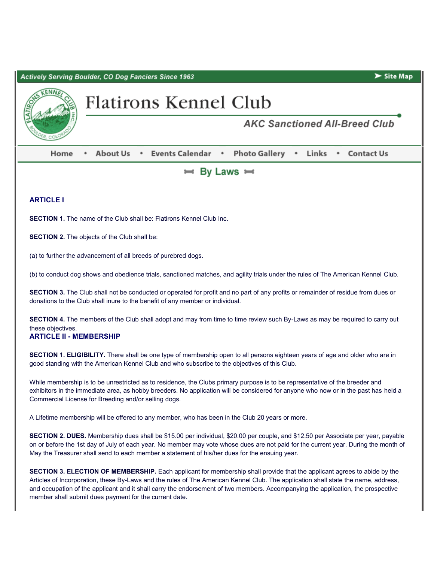Actively Serving Boulder, CO Dog Fanciers Since 1963



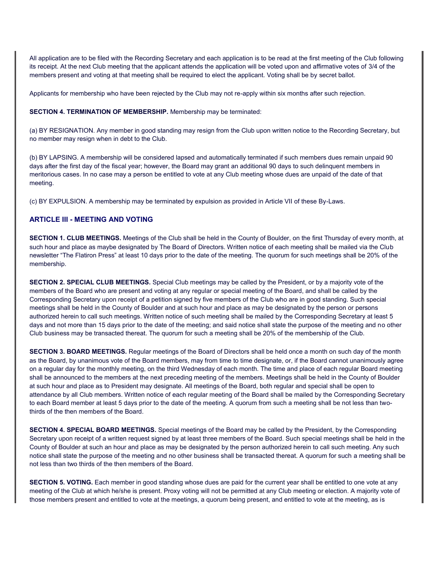All application are to be filed with the Recording Secretary and each application is to be read at the first meeting of the Club following its receipt. At the next Club meeting that the applicant attends the application will be voted upon and affirmative votes of 3/4 of the members present and voting at that meeting shall be required to elect the applicant. Voting shall be by secret ballot.

Applicants for membership who have been rejected by the Club may not re-apply within six months after such rejection.

#### **SECTION 4. TERMINATION OF MEMBERSHIP.** Membership may be terminated:

(a) BY RESIGNATION. Any member in good standing may resign from the Club upon written notice to the Recording Secretary, but no member may resign when in debt to the Club.

(b) BY LAPSING. A membership will be considered lapsed and automatically terminated if such members dues remain unpaid 90 days after the first day of the fiscal year; however, the Board may grant an additional 90 days to such delinquent members in meritorious cases. In no case may a person be entitled to vote at any Club meeting whose dues are unpaid of the date of that meeting.

(c) BY EXPULSION. A membership may be terminated by expulsion as provided in Article VII of these By-Laws.

#### **ARTICLE III - MEETING AND VOTING**

**SECTION 1. CLUB MEETINGS.** Meetings of the Club shall be held in the County of Boulder, on the first Thursday of every month, at such hour and place as maybe designated by The Board of Directors. Written notice of each meeting shall be mailed via the Club newsletter "The Flatiron Press" at least 10 days prior to the date of the meeting. The quorum for such meetings shall be 20% of the membership.

**SECTION 2. SPECIAL CLUB MEETINGS.** Special Club meetings may be called by the President, or by a majority vote of the members of the Board who are present and voting at any regular or special meeting of the Board, and shall be called by the Corresponding Secretary upon receipt of a petition signed by five members of the Club who are in good standing. Such special meetings shall be held in the County of Boulder and at such hour and place as may be designated by the person or persons authorized herein to call such meetings. Written notice of such meeting shall be mailed by the Corresponding Secretary at least 5 days and not more than 15 days prior to the date of the meeting; and said notice shall state the purpose of the meeting and no other Club business may be transacted thereat. The quorum for such a meeting shall be 20% of the membership of the Club.

**SECTION 3. BOARD MEETINGS.** Regular meetings of the Board of Directors shall be held once a month on such day of the month as the Board, by unanimous vote of the Board members, may from time to time designate, or, if the Board cannot unanimously agree on a regular day for the monthly meeting, on the third Wednesday of each month. The time and place of each regular Board meeting shall be announced to the members at the next preceding meeting of the members. Meetings shall be held in the County of Boulder at such hour and place as to President may designate. All meetings of the Board, both regular and special shall be open to attendance by all Club members. Written notice of each regular meeting of the Board shall be mailed by the Corresponding Secretary to each Board member at least 5 days prior to the date of the meeting. A quorum from such a meeting shall be not less than twothirds of the then members of the Board.

**SECTION 4. SPECIAL BOARD MEETINGS.** Special meetings of the Board may be called by the President, by the Corresponding Secretary upon receipt of a written request signed by at least three members of the Board. Such special meetings shall be held in the County of Boulder at such an hour and place as may be designated by the person authorized herein to call such meeting. Any such notice shall state the purpose of the meeting and no other business shall be transacted thereat. A quorum for such a meeting shall be not less than two thirds of the then members of the Board.

**SECTION 5. VOTING.** Each member in good standing whose dues are paid for the current year shall be entitled to one vote at any meeting of the Club at which he/she is present. Proxy voting will not be permitted at any Club meeting or election. A majority vote of those members present and entitled to vote at the meetings, a quorum being present, and entitled to vote at the meeting, as is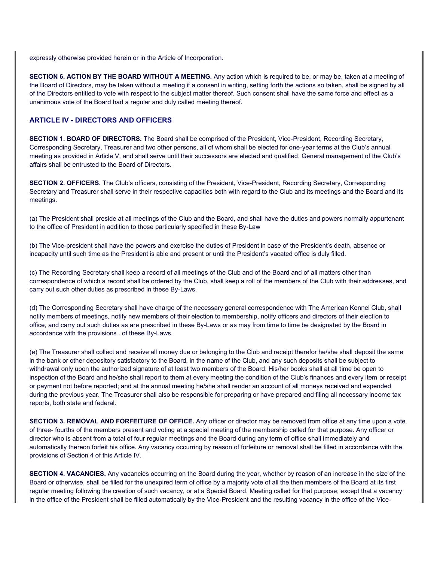expressly otherwise provided herein or in the Article of Incorporation.

**SECTION 6. ACTION BY THE BOARD WITHOUT A MEETING.** Any action which is required to be, or may be, taken at a meeting of the Board of Directors, may be taken without a meeting if a consent in writing, setting forth the actions so taken, shall be signed by all of the Directors entitled to vote with respect to the subject matter thereof. Such consent shall have the same force and effect as a unanimous vote of the Board had a regular and duly called meeting thereof.

#### **ARTICLE IV - DIRECTORS AND OFFICERS**

**SECTION 1. BOARD OF DIRECTORS.** The Board shall be comprised of the President, Vice-President, Recording Secretary, Corresponding Secretary, Treasurer and two other persons, all of whom shall be elected for one-year terms at the Club's annual meeting as provided in Article V, and shall serve until their successors are elected and qualified. General management of the Club's affairs shall be entrusted to the Board of Directors.

**SECTION 2. OFFICERS.** The Club's officers, consisting of the President, Vice-President, Recording Secretary, Corresponding Secretary and Treasurer shall serve in their respective capacities both with regard to the Club and its meetings and the Board and its meetings.

(a) The President shall preside at all meetings of the Club and the Board, and shall have the duties and powers normally appurtenant to the office of President in addition to those particularly specified in these By-Law

(b) The Vice-president shall have the powers and exercise the duties of President in case of the President's death, absence or incapacity until such time as the President is able and present or until the President's vacated office is duly filled.

(c) The Recording Secretary shall keep a record of all meetings of the Club and of the Board and of all matters other than correspondence of which a record shall be ordered by the Club, shall keep a roll of the members of the Club with their addresses, and carry out such other duties as prescribed in these By-Laws.

(d) The Corresponding Secretary shall have charge of the necessary general correspondence with The American Kennel Club, shall notify members of meetings, notify new members of their election to membership, notify officers and directors of their election to office, and carry out such duties as are prescribed in these By-Laws or as may from time to time be designated by the Board in accordance with the provisions . of these By-Laws.

(e) The Treasurer shall collect and receive all money due or belonging to the Club and receipt therefor he/she shall deposit the same in the bank or other depository satisfactory to the Board, in the name of the Club, and any such deposits shall be subject to withdrawal only upon the authorized signature of at least two members of the Board. His/her books shall at all time be open to inspection of the Board and he/she shall report to them at every meeting the condition of the Club's finances and every item or receipt or payment not before reported; and at the annual meeting he/she shall render an account of all moneys received and expended during the previous year. The Treasurer shall also be responsible for preparing or have prepared and filing all necessary income tax reports, both state and federal.

**SECTION 3. REMOVAL AND FORFEITURE OF OFFICE.** Any officer or director may be removed from office at any time upon a vote of three- fourths of the members present and voting at a special meeting of the membership called for that purpose. Any officer or director who is absent from a total of four regular meetings and the Board during any term of office shall immediately and automatically thereon forfeit his office. Any vacancy occurring by reason of forfeiture or removal shall be filled in accordance with the provisions of Section 4 of this Article IV.

**SECTION 4. VACANCIES.** Any vacancies occurring on the Board during the year, whether by reason of an increase in the size of the Board or otherwise, shall be filled for the unexpired term of office by a majority vote of all the then members of the Board at its first regular meeting following the creation of such vacancy, or at a Special Board. Meeting called for that purpose; except that a vacancy in the office of the President shall be filled automatically by the Vice-President and the resulting vacancy in the office of the Vice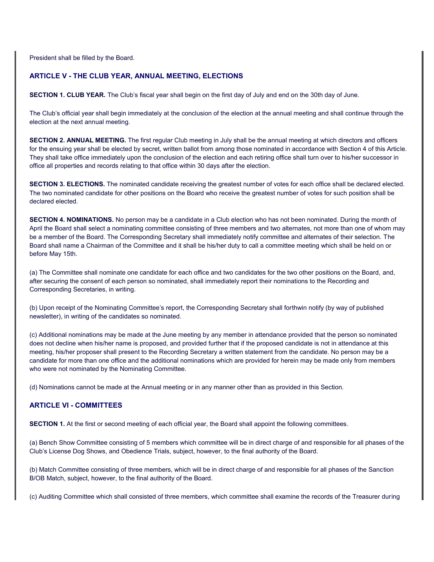President shall be filled by the Board.

## **ARTICLE V - THE CLUB YEAR, ANNUAL MEETING, ELECTIONS**

**SECTION 1. CLUB YEAR.** The Club's fiscal year shall begin on the first day of July and end on the 30th day of June.

The Club's official year shall begin immediately at the conclusion of the election at the annual meeting and shall continue through the election at the next annual meeting.

**SECTION 2. ANNUAL MEETING.** The first regular Club meeting in July shall be the annual meeting at which directors and officers for the ensuing year shall be elected by secret, written ballot from among those nominated in accordance with Section 4 of this Article. They shall take office immediately upon the conclusion of the election and each retiring office shall turn over to his/her successor in office all properties and records relating to that office within 30 days after the election.

**SECTION 3. ELECTIONS.** The nominated candidate receiving the greatest number of votes for each office shall be declared elected. The two nominated candidate for other positions on the Board who receive the greatest number of votes for such position shall be declared elected.

**SECTION 4. NOMINATIONS.** No person may be a candidate in a Club election who has not been nominated. During the month of April the Board shall select a nominating committee consisting of three members and two alternates, not more than one of whom may be a member of the Board. The Corresponding Secretary shall immediately notify committee and alternates of their selection. The Board shall name a Chairman of the Committee and it shall be his/her duty to call a committee meeting which shall be held on or before May 15th.

(a) The Committee shall nominate one candidate for each office and two candidates for the two other positions on the Board, and, after securing the consent of each person so nominated, shall immediately report their nominations to the Recording and Corresponding Secretaries, in writing.

(b) Upon receipt of the Nominating Committee's report, the Corresponding Secretary shall forthwin notify (by way of published newsletter), in writing of the candidates so nominated.

(c) Additional nominations may be made at the June meeting by any member in attendance provided that the person so nominated does not decline when his/her name is proposed, and provided further that if the proposed candidate is not in attendance at this meeting, his/her proposer shall present to the Recording Secretary a written statement from the candidate. No person may be a candidate for more than one office and the additional nominations which are provided for herein may be made only from members who were not nominated by the Nominating Committee.

(d) Nominations cannot be made at the Annual meeting or in any manner other than as provided in this Section.

## **ARTICLE VI - COMMITTEES**

**SECTION 1.** At the first or second meeting of each official year, the Board shall appoint the following committees.

(a) Bench Show Committee consisting of 5 members which committee will be in direct charge of and responsible for all phases of the Club's License Dog Shows, and Obedience Trials, subject, however, to the final authority of the Board.

(b) Match Committee consisting of three members, which will be in direct charge of and responsible for all phases of the Sanction B/OB Match, subject, however, to the final authority of the Board.

(c) Auditing Committee which shall consisted of three members, which committee shall examine the records of the Treasurer during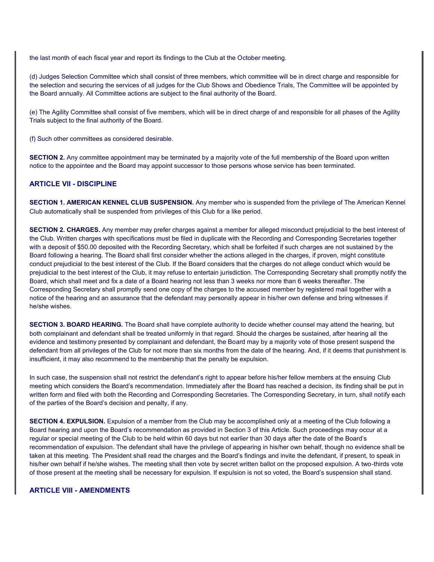the last month of each fiscal year and report its findings to the Club at the October meeting.

(d) Judges Selection Committee which shall consist of three members, which committee will be in direct charge and responsible for the selection and securing the services of all judges for the Club Shows and Obedience Trials, The Committee will be appointed by the Board annually. All Committee actions are subject to the final authority of the Board.

(e) The Agility Committee shall consist of five members, which will be in direct charge of and responsible for all phases of the Agility Trials subject to the final authority of the Board.

(f) Such other committees as considered desirable.

**SECTION 2.** Any committee appointment may be terminated by a majority vote of the full membership of the Board upon written notice to the appointee and the Board may appoint successor to those persons whose service has been terminated.

### **ARTICLE VII - DISCIPLINE**

**SECTION 1. AMERICAN KENNEL CLUB SUSPENSION.** Any member who is suspended from the privilege of The American Kennel Club automatically shall be suspended from privileges of this Club for a like period.

**SECTION 2. CHARGES.** Any member may prefer charges against a member for alleged misconduct prejudicial to the best interest of the Club. Written charges with specifications must be filed in duplicate with the Recording and Corresponding Secretaries together with a deposit of \$50.00 deposited with the Recording Secretary, which shall be forfeited if such charges are not sustained by the Board following a hearing. The Board shall first consider whether the actions alleged in the charges, if proven, might constitute conduct prejudicial to the best interest of the Club. If the Board considers that the charges do not allege conduct which would be prejudicial to the best interest of the Club, it may refuse to entertain jurisdiction. The Corresponding Secretary shall promptly notify the Board, which shall meet and fix a date of a Board hearing not less than 3 weeks nor more than 6 weeks thereafter. The Corresponding Secretary shall promptly send one copy of the charges to the accused member by registered mail together with a notice of the hearing and an assurance that the defendant may personally appear in his/her own defense and bring witnesses if he/she wishes.

**SECTION 3. BOARD HEARING.** The Board shall have complete authority to decide whether counsel may attend the hearing, but both complainant and defendant shall be treated uniformly in that regard. Should the charges be sustained, after hearing all the evidence and testimony presented by complainant and defendant, the Board may by a majority vote of those present suspend the defendant from all privileges of the Club for not more than six months from the date of the hearing. And, if it deems that punishment is insufficient, it may also recommend to the membership that the penalty be expulsion.

In such case, the suspension shall not restrict the defendant's right to appear before his/her fellow members at the ensuing Club meeting which considers the Board's recommendation. Immediately after the Board has reached a decision, its finding shall be put in written form and filed with both the Recording and Corresponding Secretaries. The Corresponding Secretary, in turn, shall notify each of the parties of the Board's decision and penalty, if any.

**SECTION 4. EXPULSION.** Expulsion of a member from the Club may be accomplished only at a meeting of the Club following a Board hearing and upon the Board's recommendation as provided in Section 3 of this Article. Such proceedings may occur at a regular or special meeting of the Club to be held within 60 days but not earlier than 30 days after the date of the Board's recommendation of expulsion. The defendant shall have the privilege of appearing in his/her own behalf, though no evidence shall be taken at this meeting. The President shall read the charges and the Board's findings and invite the defendant, if present, to speak in his/her own behalf if he/she wishes. The meeting shall then vote by secret written ballot on the proposed expulsion. A two-thirds vote of those present at the meeting shall be necessary for expulsion. If expulsion is not so voted, the Board's suspension shall stand.

#### **ARTICLE VIII - AMENDMENTS**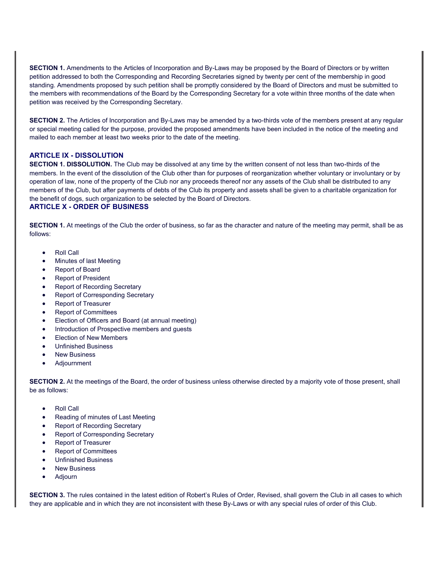**SECTION 1.** Amendments to the Articles of Incorporation and By-Laws may be proposed by the Board of Directors or by written petition addressed to both the Corresponding and Recording Secretaries signed by twenty per cent of the membership in good standing. Amendments proposed by such petition shall be promptly considered by the Board of Directors and must be submitted to the members with recommendations of the Board by the Corresponding Secretary for a vote within three months of the date when petition was received by the Corresponding Secretary.

**SECTION 2.** The Articles of Incorporation and By-Laws may be amended by a two-thirds vote of the members present at any regular or special meeting called for the purpose, provided the proposed amendments have been included in the notice of the meeting and mailed to each member at least two weeks prior to the date of the meeting.

### **ARTICLE IX - DISSOLUTION**

**SECTION 1. DISSOLUTION.** The Club may be dissolved at any time by the written consent of not less than two-thirds of the members. In the event of the dissolution of the Club other than for purposes of reorganization whether voluntary or involuntary or by operation of law, none of the property of the Club nor any proceeds thereof nor any assets of the Club shall be distributed to any members of the Club, but after payments of debts of the Club its property and assets shall be given to a charitable organization for the benefit of dogs, such organization to be selected by the Board of Directors.

## **ARTICLE X - ORDER OF BUSINESS**

**SECTION 1.** At meetings of the Club the order of business, so far as the character and nature of the meeting may permit, shall be as follows:

- Roll Call
- Minutes of last Meeting
- Report of Board
- Report of President
- Report of Recording Secretary
- Report of Corresponding Secretary
- Report of Treasurer
- Report of Committees
- Election of Officers and Board (at annual meeting)
- Introduction of Prospective members and guests
- Flection of New Members
- Unfinished Business
- New Business
- Adjournment

**SECTION 2.** At the meetings of the Board, the order of business unless otherwise directed by a majority vote of those present, shall be as follows:

- Roll Call
- Reading of minutes of Last Meeting
- Report of Recording Secretary
- Report of Corresponding Secretary
- Report of Treasurer
- Report of Committees
- Unfinished Business
- New Business
- Adjourn

**SECTION 3.** The rules contained in the latest edition of Robert's Rules of Order, Revised, shall govern the Club in all cases to which they are applicable and in which they are not inconsistent with these By-Laws or with any special rules of order of this Club.